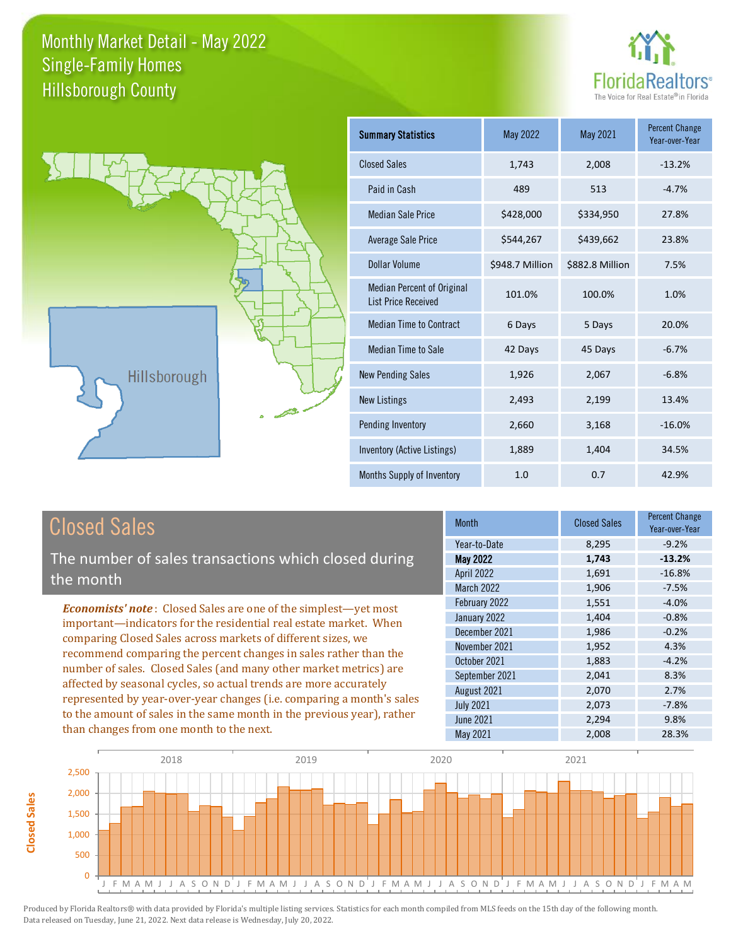



# Closed Sales

The number of sales transactions which closed during the month

*Economists' note* : Closed Sales are one of the simplest—yet most important—indicators for the residential real estate market. When comparing Closed Sales across markets of different sizes, we recommend comparing the percent changes in sales rather than the number of sales. Closed Sales (and many other market metrics) are affected by seasonal cycles, so actual trends are more accurately represented by year-over-year changes (i.e. comparing a month's sales to the amount of sales in the same month in the previous year), rather than changes from one month to the next.

| Month             | <b>Closed Sales</b> | <b>Percent Change</b><br>Year-over-Year |
|-------------------|---------------------|-----------------------------------------|
| Year-to-Date      | 8,295               | $-9.2%$                                 |
| May 2022          | 1,743               | $-13.2%$                                |
| April 2022        | 1,691               | $-16.8%$                                |
| <b>March 2022</b> | 1,906               | $-7.5%$                                 |
| February 2022     | 1,551               | $-4.0%$                                 |
| January 2022      | 1,404               | $-0.8%$                                 |
| December 2021     | 1,986               | $-0.2%$                                 |
| November 2021     | 1,952               | 4.3%                                    |
| October 2021      | 1,883               | $-4.2%$                                 |
| September 2021    | 2,041               | 8.3%                                    |
| August 2021       | 2,070               | 2.7%                                    |
| <b>July 2021</b>  | 2,073               | $-7.8%$                                 |
| <b>June 2021</b>  | 2,294               | 9.8%                                    |
| May 2021          | 2,008               | 28.3%                                   |



**Closed Sales**

**Closed Sales**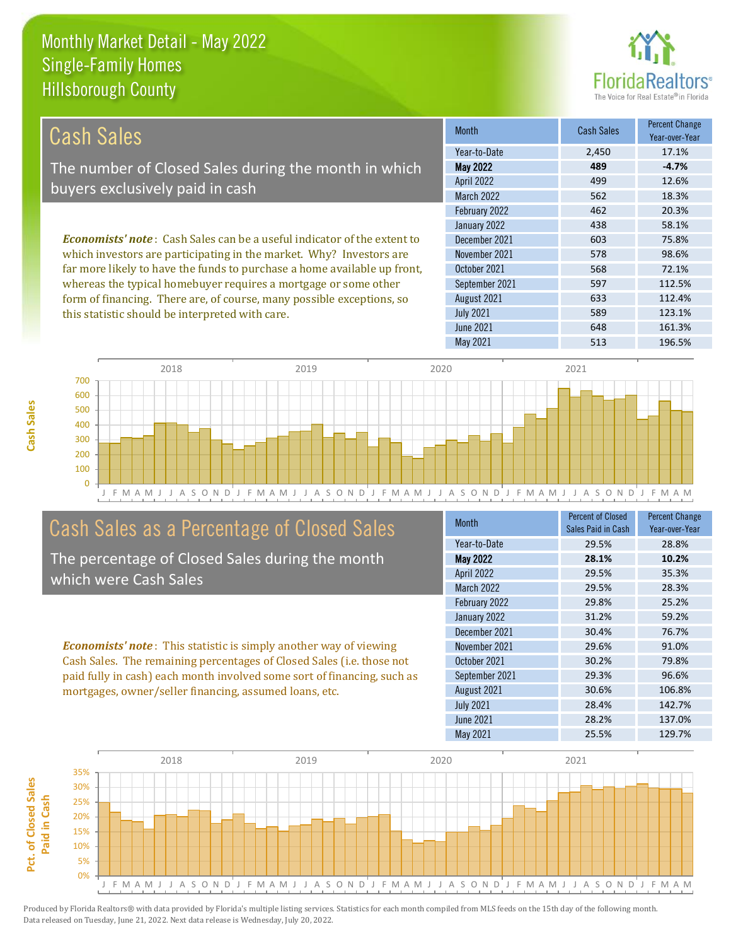this statistic should be interpreted with care.



589 123.1%

| Cash Sales                                                                     | <b>Month</b>      | <b>Cash Sales</b> | <b>Percent Change</b><br>Year-over-Year |
|--------------------------------------------------------------------------------|-------------------|-------------------|-----------------------------------------|
|                                                                                | Year-to-Date      | 2.450             | 17.1%                                   |
| The number of Closed Sales during the month in which                           | <b>May 2022</b>   | 489               | $-4.7%$                                 |
| buyers exclusively paid in cash                                                | <b>April 2022</b> | 499               | 12.6%                                   |
|                                                                                | <b>March 2022</b> | 562               | 18.3%                                   |
|                                                                                | February 2022     | 462               | 20.3%                                   |
|                                                                                | January 2022      | 438               | 58.1%                                   |
| <b>Economists' note:</b> Cash Sales can be a useful indicator of the extent to | December 2021     | 603               | 75.8%                                   |
| which investors are participating in the market. Why? Investors are            | November 2021     | 578               | 98.6%                                   |
| far more likely to have the funds to purchase a home available up front,       | October 2021      | 568               | 72.1%                                   |
| whereas the typical homebuyer requires a mortgage or some other                | September 2021    | 597               | 112.5%                                  |
| form of financing. There are, of course, many possible exceptions, so          | August 2021       | 633               | 112.4%                                  |

July 2021



# Cash Sales as a Percentage of Closed Sales

The percentage of Closed Sales during the month which were Cash Sales

*Economists' note* : This statistic is simply another way of viewing Cash Sales. The remaining percentages of Closed Sales (i.e. those not paid fully in cash) each month involved some sort of financing, such as mortgages, owner/seller financing, assumed loans, etc.

| Month             | <b>Percent of Closed</b><br>Sales Paid in Cash | <b>Percent Change</b><br>Year-over-Year |
|-------------------|------------------------------------------------|-----------------------------------------|
| Year-to-Date      | 29.5%                                          | 28.8%                                   |
| <b>May 2022</b>   | 28.1%                                          | 10.2%                                   |
| April 2022        | 29.5%                                          | 35.3%                                   |
| <b>March 2022</b> | 29.5%                                          | 28.3%                                   |
| February 2022     | 29.8%                                          | 25.2%                                   |
| January 2022      | 31.2%                                          | 59.2%                                   |
| December 2021     | 30.4%                                          | 76.7%                                   |
| November 2021     | 29.6%                                          | 91.0%                                   |
| October 2021      | 30.2%                                          | 79.8%                                   |
| September 2021    | 29.3%                                          | 96.6%                                   |
| August 2021       | 30.6%                                          | 106.8%                                  |
| <b>July 2021</b>  | 28.4%                                          | 142.7%                                  |
| June 2021         | 28.2%                                          | 137.0%                                  |
| <b>May 2021</b>   | 25.5%                                          | 129.7%                                  |

June 2021 648 161.3%

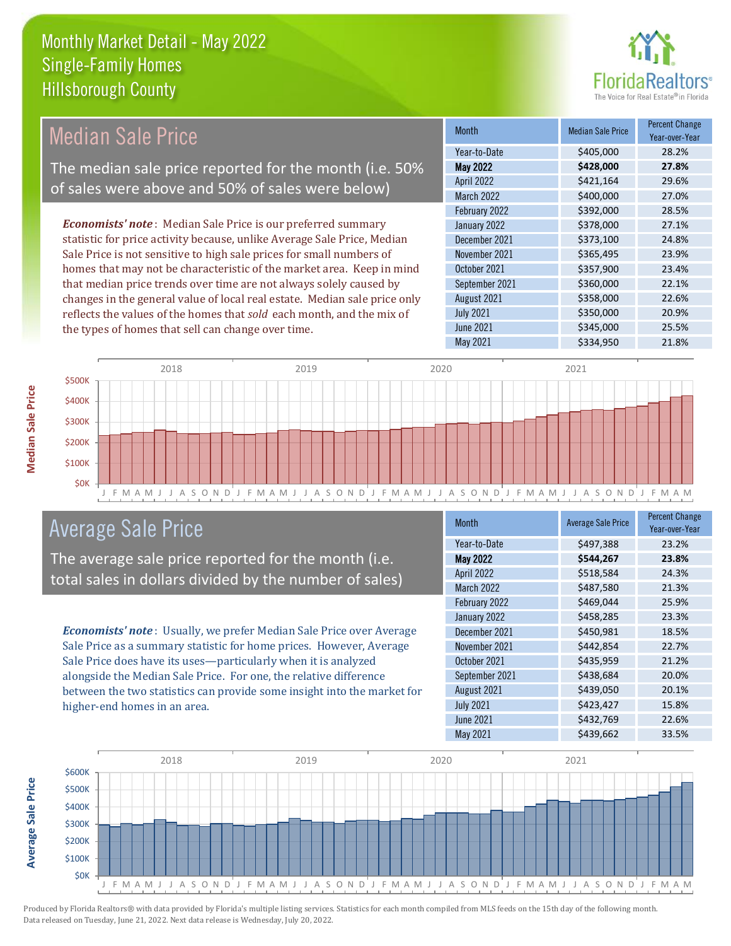

#### Month Median Sale Price Percent Change Year-over-Year May 2022 **\$428,000 27.8%** Year-to-Date \$405,000 28.2% October 2021 **\$357,900** 23.4% April 2022 \$421,164 29.6% March 2022 \$400,000 27.0% December 2021 **\$373,100** 24.8% November 2021 **\$365,495** 23.9% February 2022 \$392,000 28.5% January 2022 **\$378,000** 27.1% September 2021 \$360,000 22.1% August 2021 \$358,000 22.6% July 2021 **\$350,000** \$350,000 20.9% June 2021 **\$345,000** 25.5% May 2021 **\$334,950** 21.8% *Economists' note* : Median Sale Price is our preferred summary statistic for price activity because, unlike Average Sale Price, Median Sale Price is not sensitive to high sale prices for small numbers of homes that may not be characteristic of the market area. Keep in mind that median price trends over time are not always solely caused by changes in the general value of local real estate. Median sale price only reflects the values of the homes that *sold* each month, and the mix of the types of homes that sell can change over time. Median Sale Price The median sale price reported for the month (i.e. 50% of sales were above and 50% of sales were below)



# Average Sale Price

The average sale price reported for the month (i.e. total sales in dollars divided by the number of sales)

*Economists' note* : Usually, we prefer Median Sale Price over Average Sale Price as a summary statistic for home prices. However, Average Sale Price does have its uses—particularly when it is analyzed alongside the Median Sale Price. For one, the relative difference between the two statistics can provide some insight into the market for higher-end homes in an area.

| <b>Month</b>      | <b>Average Sale Price</b> | <b>Percent Change</b><br>Year-over-Year |
|-------------------|---------------------------|-----------------------------------------|
| Year-to-Date      | \$497,388                 | 23.2%                                   |
| <b>May 2022</b>   | \$544,267                 | 23.8%                                   |
| April 2022        | \$518,584                 | 24.3%                                   |
| <b>March 2022</b> | \$487,580                 | 21.3%                                   |
| February 2022     | \$469,044                 | 25.9%                                   |
| January 2022      | \$458,285                 | 23.3%                                   |
| December 2021     | \$450,981                 | 18.5%                                   |
| November 2021     | \$442,854                 | 22.7%                                   |
| October 2021      | \$435,959                 | 21.2%                                   |
| September 2021    | \$438,684                 | 20.0%                                   |
| August 2021       | \$439,050                 | 20.1%                                   |
| <b>July 2021</b>  | \$423,427                 | 15.8%                                   |
| <b>June 2021</b>  | \$432,769                 | 22.6%                                   |
| May 2021          | \$439,662                 | 33.5%                                   |



**Median Sale Price**

**Median Sale Price**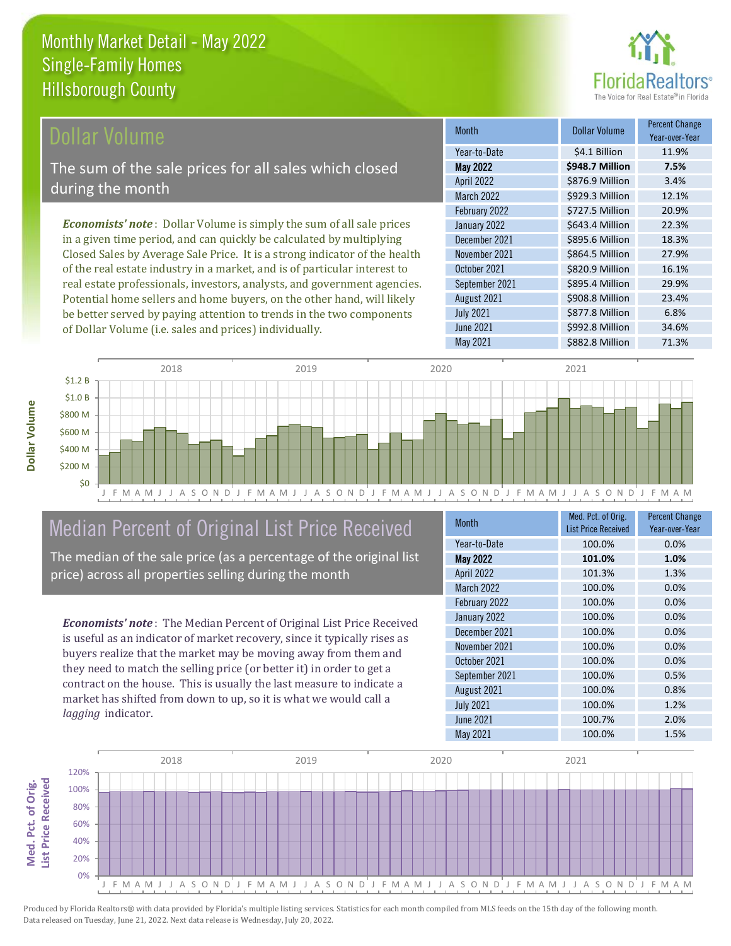

### **Ollar Volume**

The sum of the sale prices for all sales which closed during the month

*Economists' note* : Dollar Volume is simply the sum of all sale prices in a given time period, and can quickly be calculated by multiplying Closed Sales by Average Sale Price. It is a strong indicator of the health of the real estate industry in a market, and is of particular interest to real estate professionals, investors, analysts, and government agencies. Potential home sellers and home buyers, on the other hand, will likely be better served by paying attention to trends in the two components of Dollar Volume (i.e. sales and prices) individually.

| <b>Month</b>      | Dollar Volume   | <b>Percent Change</b><br>Year-over-Year |
|-------------------|-----------------|-----------------------------------------|
| Year-to-Date      | \$4.1 Billion   | 11.9%                                   |
| <b>May 2022</b>   | \$948.7 Million | 7.5%                                    |
| <b>April 2022</b> | \$876.9 Million | 3.4%                                    |
| <b>March 2022</b> | \$929.3 Million | 12.1%                                   |
| February 2022     | \$727.5 Million | 20.9%                                   |
| January 2022      | \$643.4 Million | 22.3%                                   |
| December 2021     | \$895.6 Million | 18.3%                                   |
| November 2021     | \$864.5 Million | 27.9%                                   |
| October 2021      | \$820.9 Million | 16.1%                                   |
| September 2021    | \$895.4 Million | 29.9%                                   |
| August 2021       | \$908.8 Million | 23.4%                                   |
| <b>July 2021</b>  | \$877.8 Million | 6.8%                                    |
| <b>June 2021</b>  | \$992.8 Million | 34.6%                                   |
| May 2021          | \$882.8 Million | 71.3%                                   |



# Median Percent of Original List Price Received

The median of the sale price (as a percentage of the original list price) across all properties selling during the month

*Economists' note* : The Median Percent of Original List Price Received is useful as an indicator of market recovery, since it typically rises as buyers realize that the market may be moving away from them and they need to match the selling price (or better it) in order to get a contract on the house. This is usually the last measure to indicate a market has shifted from down to up, so it is what we would call a *lagging* indicator.

| <b>Month</b>      | Med. Pct. of Orig.<br><b>List Price Received</b> | <b>Percent Change</b><br>Year-over-Year |
|-------------------|--------------------------------------------------|-----------------------------------------|
| Year-to-Date      | 100.0%                                           | 0.0%                                    |
| <b>May 2022</b>   | 101.0%                                           | 1.0%                                    |
| April 2022        | 101.3%                                           | 1.3%                                    |
| <b>March 2022</b> | 100.0%                                           | 0.0%                                    |
| February 2022     | 100.0%                                           | 0.0%                                    |
| January 2022      | 100.0%                                           | 0.0%                                    |
| December 2021     | 100.0%                                           | 0.0%                                    |
| November 2021     | 100.0%                                           | 0.0%                                    |
| October 2021      | 100.0%                                           | 0.0%                                    |
| September 2021    | 100.0%                                           | 0.5%                                    |
| August 2021       | 100.0%                                           | 0.8%                                    |
| <b>July 2021</b>  | 100.0%                                           | 1.2%                                    |
| <b>June 2021</b>  | 100.7%                                           | 2.0%                                    |
| May 2021          | 100.0%                                           | 1.5%                                    |

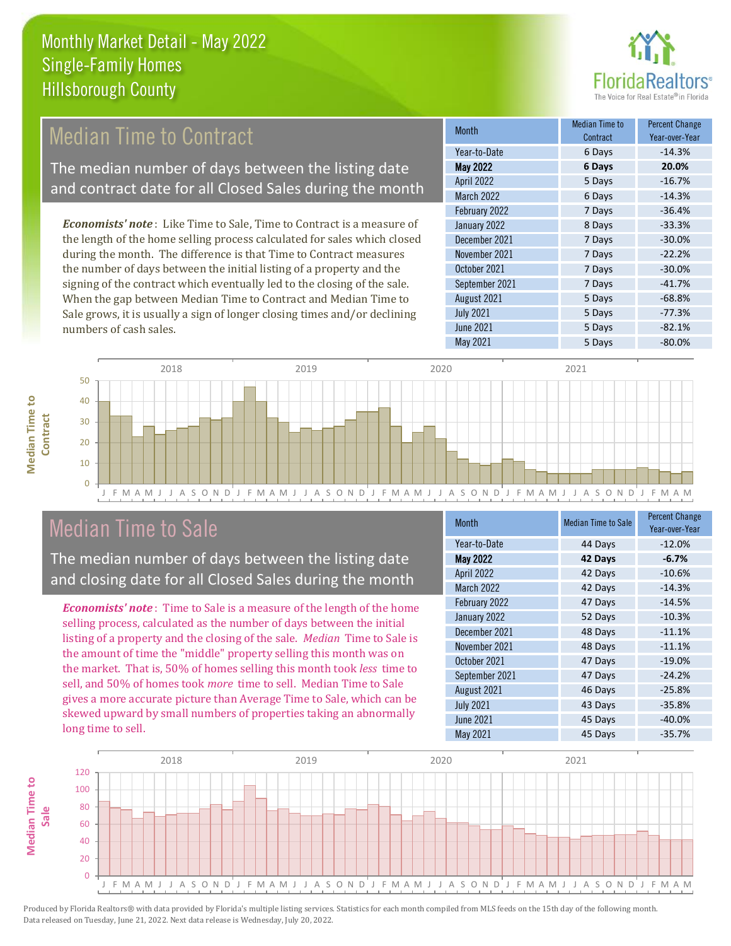

# Median Time to Contract

The median number of days between the listing date and contract date for all Closed Sales during the month

*Economists' note* : Like Time to Sale, Time to Contract is a measure of the length of the home selling process calculated for sales which closed during the month. The difference is that Time to Contract measures the number of days between the initial listing of a property and the signing of the contract which eventually led to the closing of the sale. When the gap between Median Time to Contract and Median Time to Sale grows, it is usually a sign of longer closing times and/or declining numbers of cash sales.

| Month             | <b>Median Time to</b><br>Contract | <b>Percent Change</b><br>Year-over-Year |
|-------------------|-----------------------------------|-----------------------------------------|
| Year-to-Date      | 6 Days                            | $-14.3%$                                |
| <b>May 2022</b>   | 6 Days                            | 20.0%                                   |
| April 2022        | 5 Days                            | $-16.7%$                                |
| <b>March 2022</b> | 6 Days                            | $-14.3%$                                |
| February 2022     | 7 Days                            | $-36.4%$                                |
| January 2022      | 8 Days                            | $-33.3%$                                |
| December 2021     | 7 Days                            | $-30.0%$                                |
| November 2021     | 7 Days                            | $-22.2%$                                |
| October 2021      | 7 Days                            | $-30.0%$                                |
| September 2021    | 7 Days                            | $-41.7%$                                |
| August 2021       | 5 Days                            | $-68.8%$                                |
| <b>July 2021</b>  | 5 Days                            | $-77.3%$                                |
| <b>June 2021</b>  | 5 Days                            | $-82.1%$                                |
| May 2021          | 5 Days                            | $-80.0%$                                |



# Median Time to Sale

**Median Time to** 

**Median Time to** 

The median number of days between the listing date and closing date for all Closed Sales during the month

*Economists' note* : Time to Sale is a measure of the length of the home selling process, calculated as the number of days between the initial listing of a property and the closing of the sale. *Median* Time to Sale is the amount of time the "middle" property selling this month was on the market. That is, 50% of homes selling this month took *less* time to sell, and 50% of homes took *more* time to sell. Median Time to Sale gives a more accurate picture than Average Time to Sale, which can be skewed upward by small numbers of properties taking an abnormally long time to sell.

| <b>Month</b>      | <b>Median Time to Sale</b> | <b>Percent Change</b><br>Year-over-Year |
|-------------------|----------------------------|-----------------------------------------|
| Year-to-Date      | 44 Days                    | $-12.0%$                                |
| May 2022          | 42 Days                    | $-6.7%$                                 |
| April 2022        | 42 Days                    | $-10.6%$                                |
| <b>March 2022</b> | 42 Days                    | $-14.3%$                                |
| February 2022     | 47 Days                    | $-14.5%$                                |
| January 2022      | 52 Days                    | $-10.3%$                                |
| December 2021     | 48 Days                    | $-11.1%$                                |
| November 2021     | 48 Days                    | $-11.1%$                                |
| October 2021      | 47 Days                    | $-19.0%$                                |
| September 2021    | 47 Days                    | $-24.2%$                                |
| August 2021       | 46 Days                    | $-25.8%$                                |
| <b>July 2021</b>  | 43 Days                    | $-35.8%$                                |
| June 2021         | 45 Days                    | $-40.0%$                                |
| May 2021          | 45 Days                    | $-35.7%$                                |

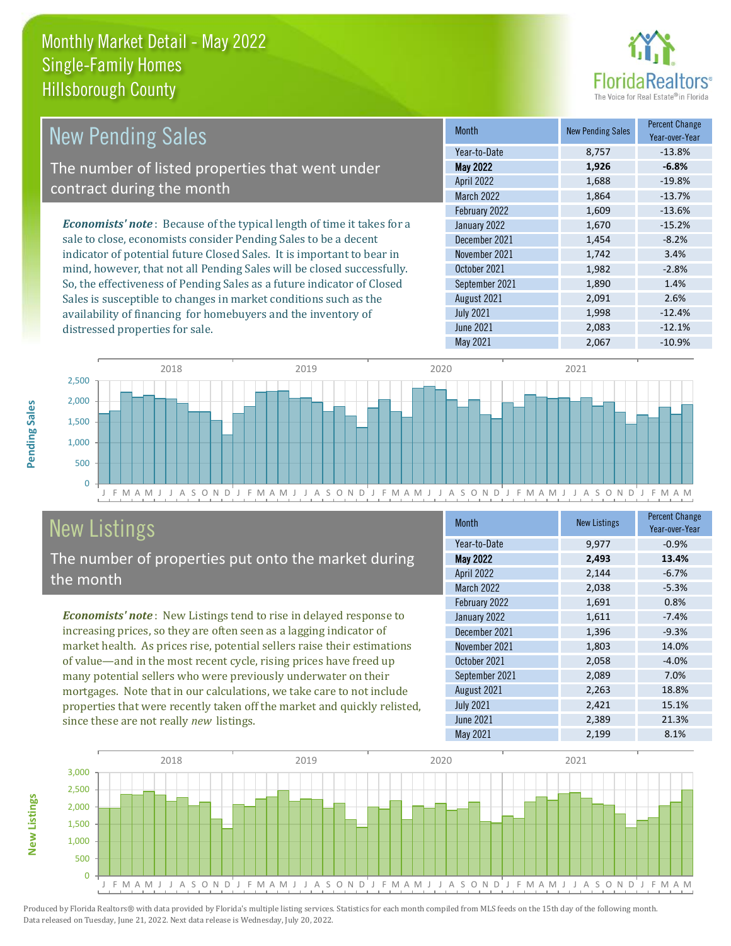distressed properties for sale.



| <b>New Pending Sales</b>                                                      | <b>Month</b>      | <b>New Pending Sales</b> | <b>Percent Change</b><br>Year-over-Year |
|-------------------------------------------------------------------------------|-------------------|--------------------------|-----------------------------------------|
|                                                                               | Year-to-Date      | 8,757                    | $-13.8%$                                |
| The number of listed properties that went under                               | <b>May 2022</b>   | 1,926                    | $-6.8%$                                 |
| contract during the month                                                     | <b>April 2022</b> | 1,688                    | $-19.8%$                                |
|                                                                               | <b>March 2022</b> | 1,864                    | $-13.7%$                                |
|                                                                               | February 2022     | 1,609                    | $-13.6%$                                |
| <b>Economists' note:</b> Because of the typical length of time it takes for a | January 2022      | 1,670                    | $-15.2%$                                |
| sale to close, economists consider Pending Sales to be a decent               | December 2021     | 1,454                    | $-8.2%$                                 |
| indicator of potential future Closed Sales. It is important to bear in        | November 2021     | 1,742                    | 3.4%                                    |
| mind, however, that not all Pending Sales will be closed successfully.        | October 2021      | 1,982                    | $-2.8%$                                 |
| So, the effectiveness of Pending Sales as a future indicator of Closed        | September 2021    | 1,890                    | 1.4%                                    |
| Sales is susceptible to changes in market conditions such as the              | August 2021       | 2,091                    | 2.6%                                    |

J F M A M J J A S O N D J F M A M J J A S O N D J F M A M J J A S O N D J F M A M J J A S O N D J F M A M  $\overline{0}$ 500 1,000 1,500 2,000 2,500 2018 2019 2020 2021

# New Listings

The number of properties put onto the market during the month

availability of financing for homebuyers and the inventory of

*Economists' note* : New Listings tend to rise in delayed response to increasing prices, so they are often seen as a lagging indicator of market health. As prices rise, potential sellers raise their estimations of value—and in the most recent cycle, rising prices have freed up many potential sellers who were previously underwater on their mortgages. Note that in our calculations, we take care to not include properties that were recently taken off the market and quickly relisted, since these are not really *new* listings.

| <b>Month</b>     | <b>New Listings</b> | <b>Percent Change</b><br>Year-over-Year |
|------------------|---------------------|-----------------------------------------|
| Year-to-Date     | 9,977               | $-0.9%$                                 |
| <b>May 2022</b>  | 2,493               | 13.4%                                   |
| April 2022       | 2,144               | $-6.7%$                                 |
| March 2022       | 2,038               | $-5.3%$                                 |
| February 2022    | 1,691               | 0.8%                                    |
| January 2022     | 1,611               | $-7.4%$                                 |
| December 2021    | 1,396               | $-9.3%$                                 |
| November 2021    | 1,803               | 14.0%                                   |
| October 2021     | 2,058               | $-4.0%$                                 |
| September 2021   | 2,089               | 7.0%                                    |
| August 2021      | 2,263               | 18.8%                                   |
| <b>July 2021</b> | 2,421               | 15.1%                                   |
| June 2021        | 2,389               | 21.3%                                   |
| May 2021         | 2,199               | 8.1%                                    |

July 2021 **1,998** -12.4% June 2021 2,083 -12.1% May 2021 2,067 -10.9%



Produced by Florida Realtors® with data provided by Florida's multiple listing services. Statistics for each month compiled from MLS feeds on the 15th day of the following month. Data released on Tuesday, June 21, 2022. Next data release is Wednesday, July 20, 2022.

**New Listings**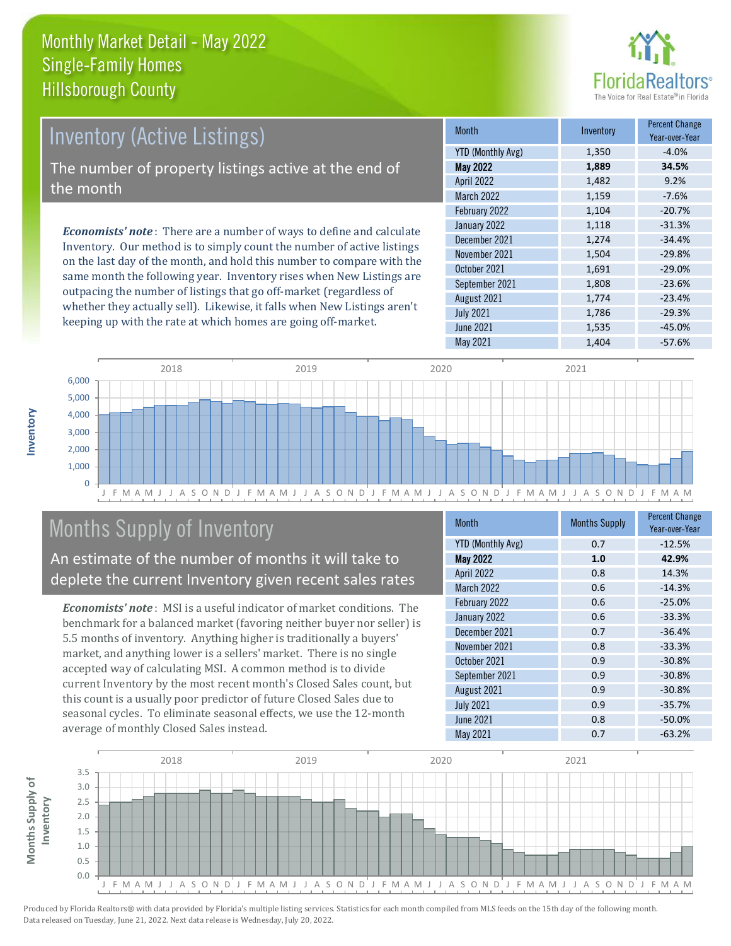

# Inventory (Active Listings)

The number of property listings active at the end of the month

*Economists' note* : There are a number of ways to define and calculate Inventory. Our method is to simply count the number of active listings on the last day of the month, and hold this number to compare with the same month the following year. Inventory rises when New Listings are outpacing the number of listings that go off-market (regardless of whether they actually sell). Likewise, it falls when New Listings aren't keeping up with the rate at which homes are going off-market.

| <b>Month</b>      | Inventory | <b>Percent Change</b><br>Year-over-Year |
|-------------------|-----------|-----------------------------------------|
| YTD (Monthly Avg) | 1,350     | $-4.0%$                                 |
| <b>May 2022</b>   | 1,889     | 34.5%                                   |
| April 2022        | 1,482     | 9.2%                                    |
| March 2022        | 1,159     | $-7.6%$                                 |
| February 2022     | 1,104     | $-20.7%$                                |
| January 2022      | 1,118     | $-31.3%$                                |
| December 2021     | 1,274     | $-34.4%$                                |
| November 2021     | 1,504     | $-29.8%$                                |
| October 2021      | 1,691     | $-29.0%$                                |
| September 2021    | 1,808     | $-23.6%$                                |
| August 2021       | 1,774     | $-23.4%$                                |
| <b>July 2021</b>  | 1,786     | $-29.3%$                                |
| <b>June 2021</b>  | 1,535     | $-45.0%$                                |
| May 2021          | 1,404     | $-57.6%$                                |



# Months Supply of Inventory

An estimate of the number of months it will take to deplete the current Inventory given recent sales rates

*Economists' note* : MSI is a useful indicator of market conditions. The benchmark for a balanced market (favoring neither buyer nor seller) is 5.5 months of inventory. Anything higher is traditionally a buyers' market, and anything lower is a sellers' market. There is no single accepted way of calculating MSI. A common method is to divide current Inventory by the most recent month's Closed Sales count, but this count is a usually poor predictor of future Closed Sales due to seasonal cycles. To eliminate seasonal effects, we use the 12-month average of monthly Closed Sales instead.

| Month                    | <b>Months Supply</b> | <b>Percent Change</b><br>Year-over-Year |
|--------------------------|----------------------|-----------------------------------------|
| <b>YTD (Monthly Avg)</b> | 0.7                  | $-12.5%$                                |
| May 2022                 | 1.0                  | 42.9%                                   |
| April 2022               | 0.8                  | 14.3%                                   |
| <b>March 2022</b>        | 0.6                  | $-14.3%$                                |
| February 2022            | 0.6                  | $-25.0%$                                |
| January 2022             | 0.6                  | $-33.3%$                                |
| December 2021            | 0.7                  | $-36.4%$                                |
| November 2021            | 0.8                  | $-33.3%$                                |
| October 2021             | 0.9                  | $-30.8%$                                |
| September 2021           | 0.9                  | $-30.8%$                                |
| August 2021              | 0.9                  | $-30.8%$                                |
| <b>July 2021</b>         | 0.9                  | $-35.7%$                                |
| June 2021                | 0.8                  | $-50.0%$                                |
| May 2021                 | 0.7                  | $-63.2%$                                |



**Inventory**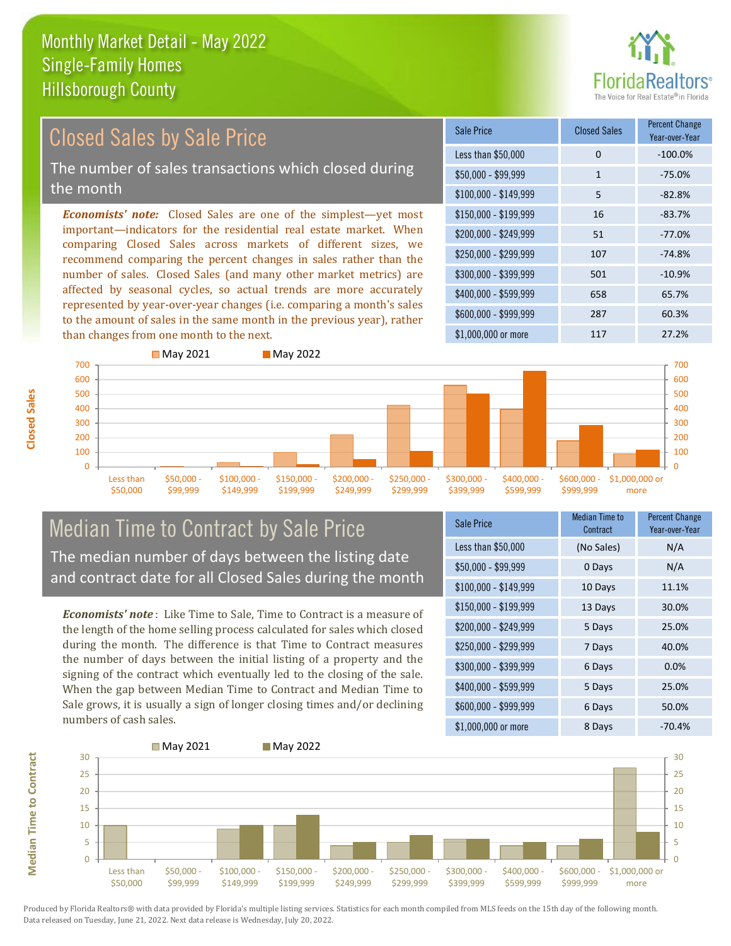

#### *Economists' note:* Closed Sales are one of the simplest—yet most important—indicators for the residential real estate market. When comparing Closed Sales across markets of different sizes, we recommend comparing the percent changes in sales rather than the number of sales. Closed Sales (and many other market metrics) are affected by seasonal cycles, so actual trends are more accurately represented by year-over-year changes (i.e. comparing a month's sales to the amount of sales in the same month in the previous year), rather than changes from one month to the next. \$1,000,000 or more 117 117 27.2% \$250,000 - \$299,999 107 -74.8% \$300,000 - \$399,999 501 -10.9% \$400,000 - \$599,999 658 65.7% \$600,000 - \$999,999 287 60.3% \$150,000 - \$199,999 16 -83.7% \$200,000 - \$249,999 51 -77.0% \$100,000 - \$149,999 5 -82.8% Sale Price Closed Sales Percent Change Year-over-Year Less than \$50,000 0 0 -100.0%  $$50.000 - $99.999$  1 -75.0% 700 **May 2021** May 2022 600 700 Closed Sales by Sale Price The number of sales transactions which closed during the month



### Median Time to Contract by Sale Price The median number of days between the listing date and contract date for all Closed Sales during the month

*Economists' note* : Like Time to Sale, Time to Contract is a measure of the length of the home selling process calculated for sales which closed during the month. The difference is that Time to Contract measures the number of days between the initial listing of a property and the signing of the contract which eventually led to the closing of the sale. When the gap between Median Time to Contract and Median Time to Sale grows, it is usually a sign of longer closing times and/or declining numbers of cash sales.

| <b>Sale Price</b>     | Median Time to<br>Contract | Percent Change<br>Year-over-Year |
|-----------------------|----------------------------|----------------------------------|
| Less than \$50,000    | (No Sales)                 | N/A                              |
| $$50,000 - $99,999$   | 0 Days                     | N/A                              |
| $$100,000 - $149,999$ | 10 Days                    | 11.1%                            |
| $$150,000 - $199,999$ | 13 Days                    | 30.0%                            |
| \$200,000 - \$249,999 | 5 Days                     | 25.0%                            |
| \$250,000 - \$299,999 | 7 Days                     | 40.0%                            |
| \$300,000 - \$399,999 | 6 Days                     | 0.0%                             |
| \$400,000 - \$599,999 | 5 Days                     | 25.0%                            |
| \$600,000 - \$999,999 | 6 Days                     | 50.0%                            |
| \$1,000,000 or more   | 8 Days                     | $-70.4%$                         |



**Closed Sales**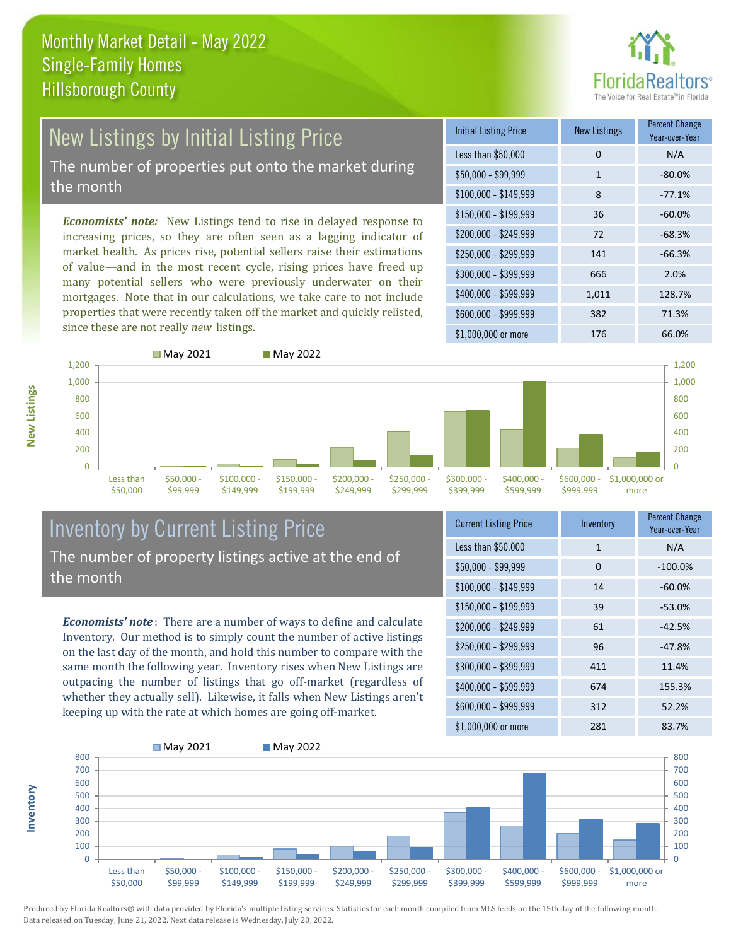

# New Listings by Initial Listing Price The number of properties put onto the market during

the month

*Economists' note:* New Listings tend to rise in delayed response to increasing prices, so they are often seen as a lagging indicator of market health. As prices rise, potential sellers raise their estimations of value—and in the most recent cycle, rising prices have freed up many potential sellers who were previously underwater on their mortgages. Note that in our calculations, we take care to not include properties that were recently taken off the market and quickly relisted, since these are not really *new* listings.

| <b>Initial Listing Price</b> | <b>New Listings</b> | <b>Percent Change</b><br>Year-over-Year |
|------------------------------|---------------------|-----------------------------------------|
| Less than \$50,000           | 0                   | N/A                                     |
| $$50,000 - $99,999$          | 1                   | $-80.0%$                                |
| $$100,000 - $149,999$        | 8                   | $-77.1%$                                |
| $$150,000 - $199,999$        | 36                  | $-60.0%$                                |
| \$200,000 - \$249,999        | 72                  | $-68.3%$                                |
| \$250,000 - \$299,999        | 141                 | $-66.3%$                                |
| \$300,000 - \$399,999        | 666                 | 2.0%                                    |
| \$400,000 - \$599,999        | 1,011               | 128.7%                                  |
| \$600,000 - \$999,999        | 382                 | 71.3%                                   |
| \$1,000,000 or more          | 176                 | 66.0%                                   |



**Inventory**



#### Inventory by Current Listing Price The number of property listings active at the end of the month

*Economists' note* : There are a number of ways to define and calculate Inventory. Our method is to simply count the number of active listings on the last day of the month, and hold this number to compare with the same month the following year. Inventory rises when New Listings are outpacing the number of listings that go off-market (regardless of whether they actually sell). Likewise, it falls when New Listings aren't keeping up with the rate at which homes are going off-market.

| <b>Current Listing Price</b> | Inventory    | <b>Percent Change</b><br>Year-over-Year |
|------------------------------|--------------|-----------------------------------------|
| Less than \$50,000           | $\mathbf{1}$ | N/A                                     |
| $$50,000 - $99,999$          | 0            | $-100.0%$                               |
| $$100,000 - $149,999$        | 14           | $-60.0%$                                |
| $$150,000 - $199,999$        | 39           | $-53.0%$                                |
| \$200,000 - \$249,999        | 61           | $-42.5%$                                |
| \$250,000 - \$299,999        | 96           | $-47.8%$                                |
| \$300,000 - \$399,999        | 411          | 11.4%                                   |
| \$400,000 - \$599,999        | 674          | 155.3%                                  |
| \$600,000 - \$999,999        | 312          | 52.2%                                   |
| \$1,000,000 or more          | 281          | 83.7%                                   |